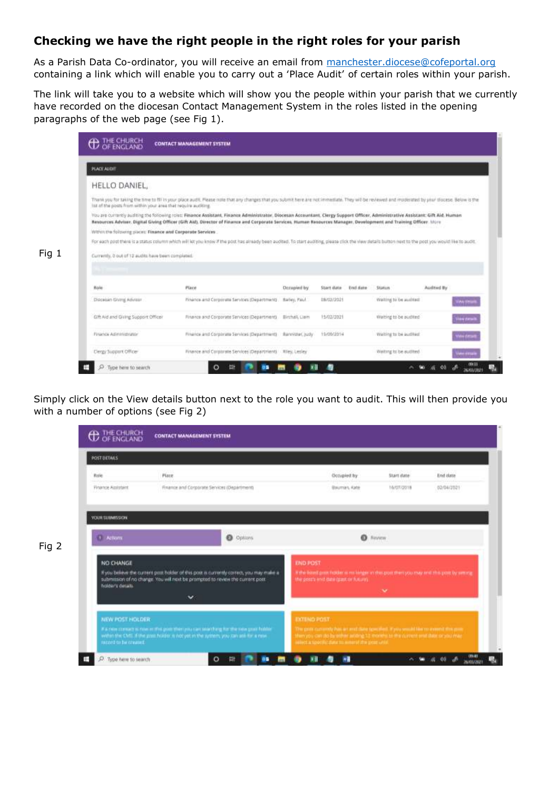# **Checking we have the right people in the right roles for your parish**

As a Parish Data Co-ordinator, you will receive an email from [manchester.diocese@cofeportal.org](mailto:manchester.diocese@cofeportal.org) containing a link which will enable you to carry out a 'Place Audit' of certain roles within your parish.

The link will take you to a website which will show you the people within your parish that we currently have recorded on the diocesan Contact Management System in the roles listed in the opening paragraphs of the web page (see Fig 1).

| PLACE AUDIT                                                   |                                                                                                                                                                                                                                                                                                                                                      |               |             |          |                        |                   |
|---------------------------------------------------------------|------------------------------------------------------------------------------------------------------------------------------------------------------------------------------------------------------------------------------------------------------------------------------------------------------------------------------------------------------|---------------|-------------|----------|------------------------|-------------------|
| HELLO DANIEL                                                  |                                                                                                                                                                                                                                                                                                                                                      |               |             |          |                        |                   |
| lot of the posts from within your area that require auditing. | Thank you for taking the time to fill in your place audit. Please note that any changes that you submit here are not immediate. They will be reviewed and moderated by your discess. Below is the                                                                                                                                                    |               |             |          |                        |                   |
|                                                               | You are currently auditing the following roles: Finance Assistant, Finance Administrator, Diocesan Accountant, Clergy Support Officer, Administrative Assistant: Gift Aid. Human<br>Resources Adviser, Digital Giving Officer (GIR Aid), Director of Finance and Corporate Services, Human Kessurces Manager, Development and Training Officer. More |               |             |          |                        |                   |
| Within the following places: Finance and Corporate Services   |                                                                                                                                                                                                                                                                                                                                                      |               |             |          |                        |                   |
|                                                               | For each post there is a status column which will let you know if the post has already been audited. To start auditing, please click the view stetals button next to the post you would like to audit.                                                                                                                                               |               |             |          |                        |                   |
|                                                               |                                                                                                                                                                                                                                                                                                                                                      |               |             |          |                        |                   |
|                                                               |                                                                                                                                                                                                                                                                                                                                                      |               |             |          |                        |                   |
| Currently, it out of 12 audits have been completed.           |                                                                                                                                                                                                                                                                                                                                                      |               |             |          |                        |                   |
|                                                               |                                                                                                                                                                                                                                                                                                                                                      |               |             |          |                        |                   |
| Role                                                          | Plaze                                                                                                                                                                                                                                                                                                                                                | Derupied by   | Stert date  | End date | Status                 | Audited By        |
| Digestan Giving Adviser                                       | Finance and Corporate Services (Department) . Balley, Paul                                                                                                                                                                                                                                                                                           |               | D.M/02/2021 |          | Walting to be audited: | <b>Malw Hesan</b> |
| Gift Aid and Giving Support Officer                           | Finance and Corporate Services (Department)                                                                                                                                                                                                                                                                                                          | Birthall Cain | 15/02/2021  |          | Waiting to be pudled   | Your dealer       |
| <b>Finance Administrator</b>                                  | Finance and Corporate Services (Department) Bannister, judy                                                                                                                                                                                                                                                                                          |               | 15/00/2014  |          | Walting to be audited. | Yek deset         |

Simply click on the View details button next to the role you want to audit. This will then provide you with a number of options (see Fig 2)

| <b>POST DETAILS</b>                               |                                                                                                                                                                                            |                                                                                                                                                                                            |                          |                        |  |
|---------------------------------------------------|--------------------------------------------------------------------------------------------------------------------------------------------------------------------------------------------|--------------------------------------------------------------------------------------------------------------------------------------------------------------------------------------------|--------------------------|------------------------|--|
| Ratie<br>Finance Amistant                         | Place.<br>Finance and Corporate Services (Department)                                                                                                                                      | Docupied by<br>Bauman, Kate                                                                                                                                                                | Start date<br>16/07/2018 | End date<br>02/04/2021 |  |
| <b>VOUR SUBMISSION</b><br><b><i>C Actions</i></b> | <b>O</b> Options                                                                                                                                                                           | <b>O</b> Hovers                                                                                                                                                                            |                          |                        |  |
| NO CHANGE<br>holder's details.                    | If you believe the current print holder of this post is currently correct, you may make a<br>submission of no change. You will next be prompted to revew the current post.<br>$\checkmark$ | <b>END POST</b><br>If the board part holder is no larger in the post then you may end this post by setting<br>the post's end date (part or future)                                         | ×                        |                        |  |
| NEW POST HOLDER                                   | A a mine compact to make in this point them you can sink thing for the new post-hubble.<br>within the CME. If the post-holder is not yet in the system, you can ask for a new              | <b>EXTENDIDATE</b><br>The policitum manufacture and date specified. If you would like to assent this per<br>then you can do be either artible 12 months to the current end date or you may |                          |                        |  |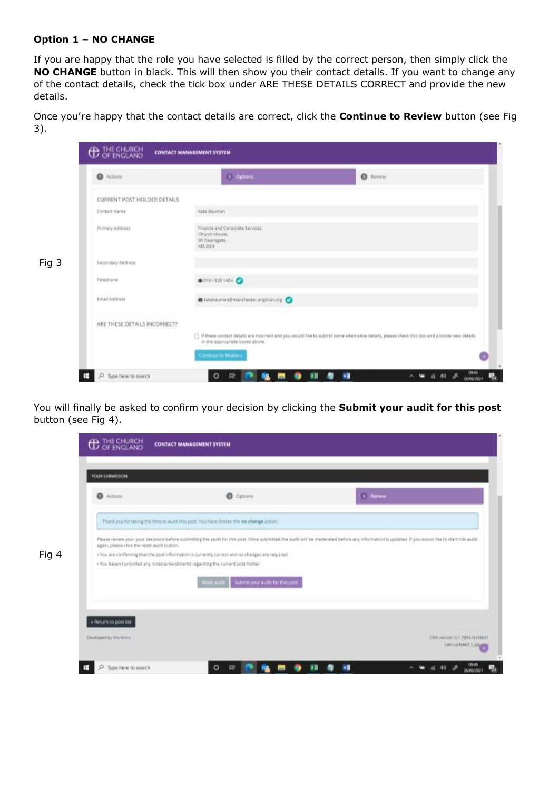# **Option 1 – NO CHANGE**

Fig 4

If you are happy that the role you have selected is filled by the correct person, then simply click the **NO CHANGE** button in black. This will then show you their contact details. If you want to change any of the contact details, check the tick box under ARE THESE DETAILS CORRECT and provide the new details.

Once you're happy that the contact details are correct, click the **Continue to Review** button (see Fig 3).

| @ Actions           |                              | <b>3</b> Options                                                  | <b>O</b> Neveral                                                                                                                                |  |
|---------------------|------------------------------|-------------------------------------------------------------------|-------------------------------------------------------------------------------------------------------------------------------------------------|--|
|                     | CURRENT POST HOLDER DETAILS  |                                                                   |                                                                                                                                                 |  |
| Contact Name        |                              | Kato Bauman                                                       |                                                                                                                                                 |  |
| Primary Address     | <b>M3 2GH</b>                | Finance and Corporate Services.<br>Chirth House.<br>00 Deanigate. |                                                                                                                                                 |  |
| Secondary Address   |                              |                                                                   |                                                                                                                                                 |  |
| Talephone           |                              | ● 0101 828 1404 ●                                                 |                                                                                                                                                 |  |
| <b>Smáil Admuse</b> |                              | as kesbaumandmanchedecanglicaning                                 |                                                                                                                                                 |  |
|                     | ARE THESE DETAILS INCORRECT? |                                                                   |                                                                                                                                                 |  |
|                     |                              | in the appropriate boxes above.                                   | [1] If these contact details are incorrect and you would like to submit some alternative stetels, please check this box and provide new details |  |

You will finally be asked to confirm your decision by clicking the **Submit your audit for this post** button (see Fig 4).

| ۰<br>Actions                                | o<br>Oppons.                                                                                                                                                                                     | <b>Novem</b> |  |
|---------------------------------------------|--------------------------------------------------------------------------------------------------------------------------------------------------------------------------------------------------|--------------|--|
|                                             | Them you for taking the time to audit this post. You have chosen the we change action.                                                                                                           |              |  |
|                                             | Please review your your decisions before submitting the audit for this post. Once submitted the audit will be molerated before any information is updated. If you would like to start this audit |              |  |
|                                             |                                                                                                                                                                                                  |              |  |
| again, piesse click the reset audit button. | +70u are confirming that the post information is currently correct and no changes are required.                                                                                                  |              |  |
|                                             | . You haven't provided any notes amendments regarding the current post holder.                                                                                                                   |              |  |
|                                             | Reset audit   Submit your audit for this plus                                                                                                                                                    |              |  |
|                                             |                                                                                                                                                                                                  |              |  |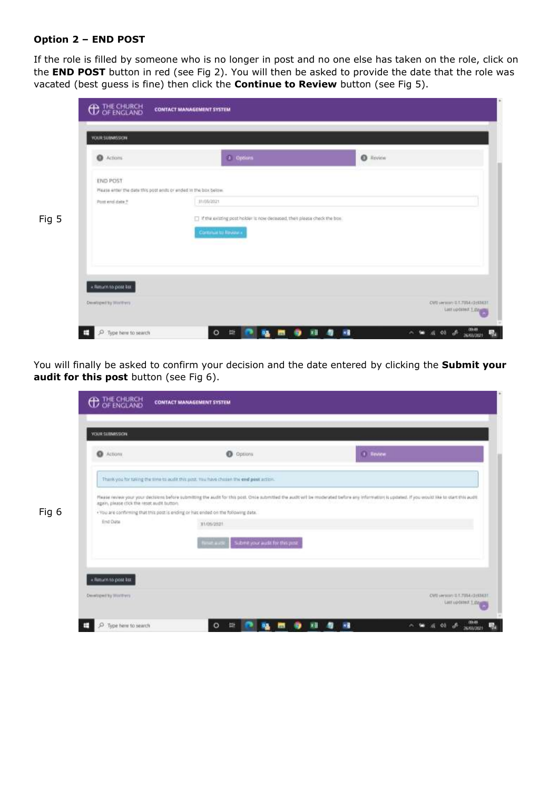## **Option 2 – END POST**

If the role is filled by someone who is no longer in post and no one else has taken on the role, click on the **END POST** button in red (see Fig 2). You will then be asked to provide the date that the role was vacated (best guess is fine) then click the **Continue to Review** button (see Fig 5).

| C Actions                                                                         | $1 - 0$ poues                                                               | <b>O</b> Review |
|-----------------------------------------------------------------------------------|-----------------------------------------------------------------------------|-----------------|
| <b>END POST</b><br>Mease enter the date this post ends or ended in the box below. |                                                                             |                 |
| Point end date ?                                                                  | 11:05/2021                                                                  |                 |
|                                                                                   | [7] If the existing post holder is now deceased, then please check the box. |                 |
|                                                                                   | Communité Navigan                                                           |                 |
|                                                                                   |                                                                             |                 |
|                                                                                   |                                                                             |                 |
| « Return to post ker                                                              |                                                                             |                 |

You will finally be asked to confirm your decision and the date entered by clicking the **Submit your audit for this post** button (see Fig 6).

| C Actions                                   | <b>O</b> Options                                                                                                                                                                               | $\bigcirc$ -Review |
|---------------------------------------------|------------------------------------------------------------------------------------------------------------------------------------------------------------------------------------------------|--------------------|
|                                             | Thank you for taking the time to audit this post. You have chosen the end peet action.                                                                                                         |                    |
| again, please click the reset audit button. | Please news your your decisions before submitting the audit for this post. Only submitted the audit will be moderated before any information is updated. If you would like to otart this audit |                    |
|                                             | . You are confirming that this post is ending or has ended on the following date.                                                                                                              |                    |
| End Data                                    | 31/05/2021                                                                                                                                                                                     |                    |
|                                             | Subwit your audit for this post.<br><b>The Alberta</b>                                                                                                                                         |                    |
|                                             |                                                                                                                                                                                                |                    |
|                                             |                                                                                                                                                                                                |                    |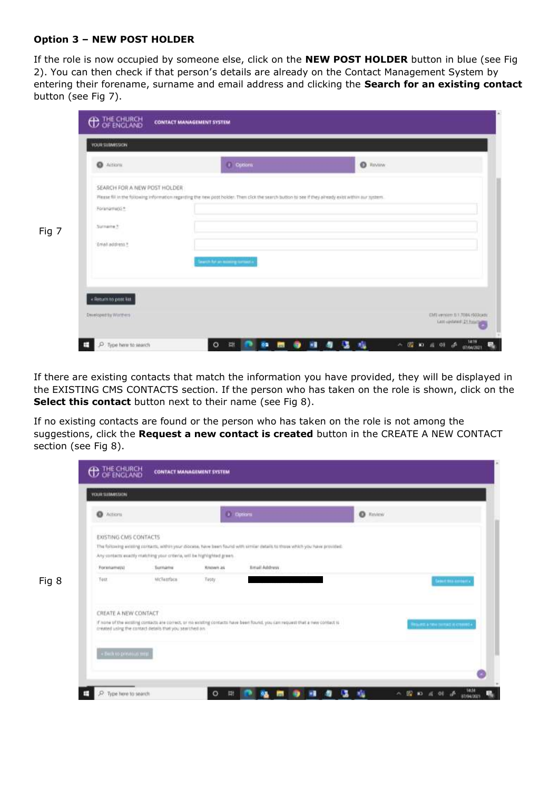## **Option 3 – NEW POST HOLDER**

If the role is now occupied by someone else, click on the **NEW POST HOLDER** button in blue (see Fig 2). You can then check if that person's details are already on the Contact Management System by entering their forename, surname and email address and clicking the **Search for an existing contact** button (see Fig 7).

e.

| $\bullet$ Actions            | (i) Options                                                                                                                                          | <b>O</b> Tunism |
|------------------------------|------------------------------------------------------------------------------------------------------------------------------------------------------|-----------------|
| SEARCH FOR A NEW POST HOLDER |                                                                                                                                                      |                 |
| Foranamagic*                 | Please fill in the following information regarding the new post holder. Then click the search button to see if they already exist within our system. |                 |
| Surname 3:                   |                                                                                                                                                      |                 |
| Enhall address *             |                                                                                                                                                      |                 |
|                              | Search for an excess grounds a                                                                                                                       |                 |
|                              |                                                                                                                                                      |                 |
| + Return to post kit.        |                                                                                                                                                      |                 |

If there are existing contacts that match the information you have provided, they will be displayed in the EXISTING CMS CONTACTS section. If the person who has taken on the role is shown, click on the **Select this contact** button next to their name (see Fig 8).

If no existing contacts are found or the person who has taken on the role is not among the suggestions, click the **Request a new contact is created** button in the CREATE A NEW CONTACT section (see Fig 8).

| <b>O</b> Actions             |                                                                                   |           | (ii) option                                                                                                                  | $0$ Riview |                               |
|------------------------------|-----------------------------------------------------------------------------------|-----------|------------------------------------------------------------------------------------------------------------------------------|------------|-------------------------------|
| <b>EXISTING CMS CONTACTS</b> |                                                                                   |           |                                                                                                                              |            |                               |
|                              |                                                                                   |           | The following wilsting contacts, within your diocese, have been found with similar datails to those which you have provided. |            |                               |
| Forenamers)                  | Any contacts exactly matching your criteria, will be highlighted green.<br>Sumanu | Krusen as | <b>Email Address</b>                                                                                                         |            |                               |
| Test                         | McTaurfaca:                                                                       | Testy     |                                                                                                                              |            | Samit this antiques.          |
|                              |                                                                                   |           |                                                                                                                              |            |                               |
| CREATE A NEW CONTACT         |                                                                                   |           |                                                                                                                              |            |                               |
|                              |                                                                                   |           | If none of the solding contacts are conect, or no solding contacts have been found, you can request that a new contact is    |            | Ятанта в пен рилья и степел - |
|                              | created using the contact details that you searched on                            |           |                                                                                                                              |            |                               |
| . Deck to primous mest       |                                                                                   |           |                                                                                                                              |            |                               |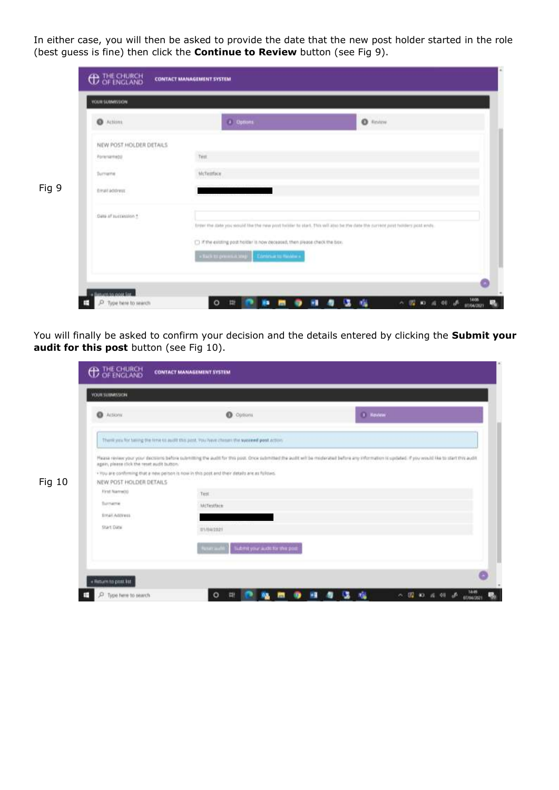In either case, you will then be asked to provide the date that the new post holder started in the role (best guess is fine) then click the **Continue to Review** button (see Fig 9).

| @ Actions:              | $\bullet$ findow<br>a options                                                                                              |
|-------------------------|----------------------------------------------------------------------------------------------------------------------------|
| NEW POST HOLDER DETAILS |                                                                                                                            |
| Pommemeto               | Test.                                                                                                                      |
| Turname.                | McTetthon                                                                                                                  |
| Email address:          |                                                                                                                            |
| Date of succession *    | Enter the Jate you would like the rwe port tubbe to start. This will also be the date the current post holders post write. |
|                         | [3] If the existing post holder is now deceased, then please check the box.                                                |
|                         | - But in presenting  Continue to write a                                                                                   |

You will finally be asked to confirm your decision and the details entered by clicking the **Submit your audit for this post** button (see Fig 10).

| <b>Q</b> Actions                            | O Outlant                                                                                                                                                                                       | $(1)$ Haview |
|---------------------------------------------|-------------------------------------------------------------------------------------------------------------------------------------------------------------------------------------------------|--------------|
|                                             |                                                                                                                                                                                                 |              |
|                                             | Then you for terms the line to audit this post, you have chines the succeed post action.                                                                                                        |              |
|                                             | Please review your your decisions before submitting the audit for this post. Once submitted the audit will be moderated before any information is updated. If you would his to start this audit |              |
| again, please click the reset audit button. | . You are confirming that a new person is now in this post and their details are as follows.                                                                                                    |              |
| NEW POST HOLDER DETAILS                     |                                                                                                                                                                                                 |              |
| First NameDG                                | Test                                                                                                                                                                                            |              |
| <b>Surname</b>                              | Millesthee                                                                                                                                                                                      |              |
| Trial Address                               |                                                                                                                                                                                                 |              |
|                                             | IFL/84/2021                                                                                                                                                                                     |              |
| Start Date                                  |                                                                                                                                                                                                 |              |
|                                             | Tubmit your audit for this poor<br>Penalt and O                                                                                                                                                 |              |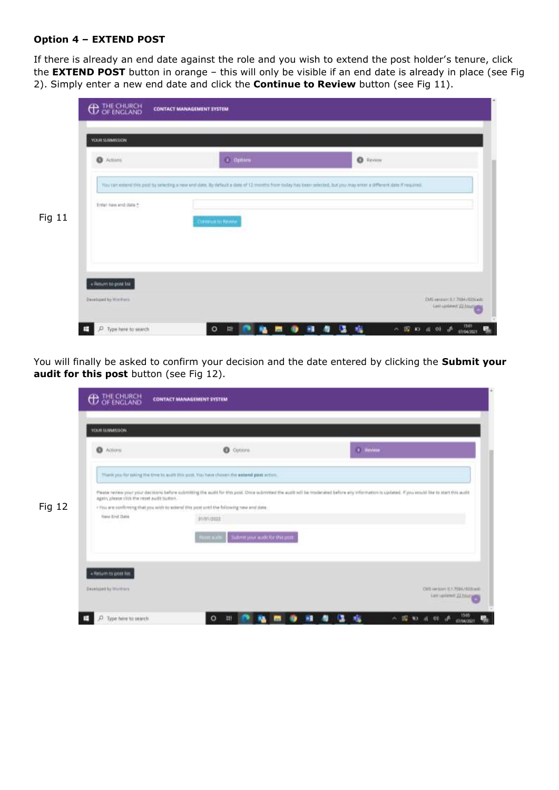## **Option 4 – EXTEND POST**

If there is already an end date against the role and you wish to extend the post holder's tenure, click the **EXTEND POST** button in orange – this will only be visible if an end date is already in place (see Fig 2). Simply enter a new end date and click the **Continue to Review** button (see Fig 11).

| O Actions                                    | $2$ Optiom                                                                                                                                                        | $\bullet$ Henry |
|----------------------------------------------|-------------------------------------------------------------------------------------------------------------------------------------------------------------------|-----------------|
| <b>Seems Company</b><br>Enter new and date * | You can extend this post by selecting a new end date. By default a date of 12 months from today has been selected. but you may emer a different date if required. |                 |
|                                              | Continue to Revery                                                                                                                                                |                 |
|                                              |                                                                                                                                                                   |                 |
| « Return to post list                        |                                                                                                                                                                   |                 |

You will finally be asked to confirm your decision and the date entered by clicking the **Submit your audit for this post** button (see Fig 12).

| <b>O</b> Attorn                             | <b>O</b> Options                                                                          | 3 modeler                                                                                                                                                                                          |
|---------------------------------------------|-------------------------------------------------------------------------------------------|----------------------------------------------------------------------------------------------------------------------------------------------------------------------------------------------------|
|                                             | Thank you for taking the time to audit this post. You have chosen the extend post action. |                                                                                                                                                                                                    |
| Again, please click the reset audit button. |                                                                                           | Please neview your your decisions before pulsmitting the audit for this post. Once submitted the audit will be moderated before any information is updated. If you would like to start this audit. |
| haw first fiets                             | . You are confirming that you with to extend this post until the following new end date.  |                                                                                                                                                                                                    |
|                                             | 31/01/2022                                                                                |                                                                                                                                                                                                    |
|                                             | Butterforce acidi for the print.<br><b>NIEL</b>                                           |                                                                                                                                                                                                    |
|                                             |                                                                                           |                                                                                                                                                                                                    |
|                                             |                                                                                           |                                                                                                                                                                                                    |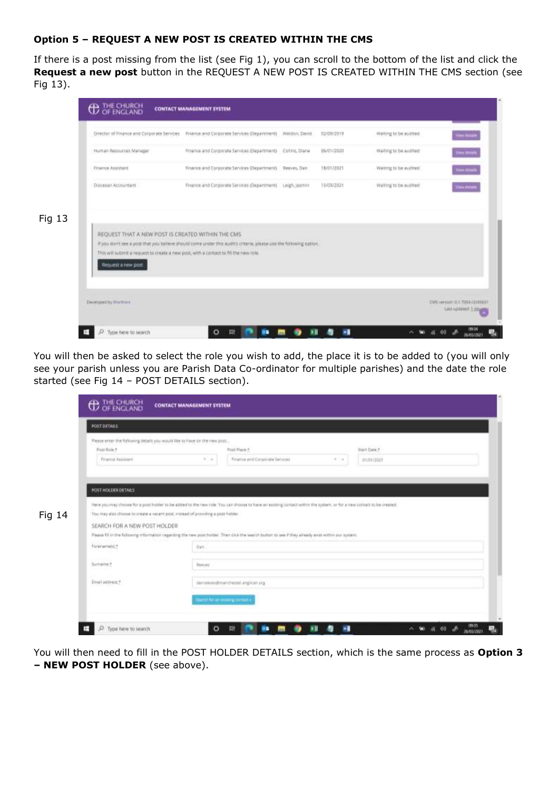# **Option 5 – REQUEST A NEW POST IS CREATED WITHIN THE CMS**

If there is a post missing from the list (see Fig 1), you can scroll to the bottom of the list and click the **Request a new post** button in the REQUEST A NEW POST IS CREATED WITHIN THE CMS section (see Fig 13).



You will then be asked to select the role you wish to add, the place it is to be added to (you will only see your parish unless you are Parish Data Co-ordinator for multiple parishes) and the date the role started (see Fig 14 – POST DETAILS section).

| <b>POST DETAILS</b>                                                        |                                                                                                                                                                       |
|----------------------------------------------------------------------------|-----------------------------------------------------------------------------------------------------------------------------------------------------------------------|
| Please ereer the following details you would like to have on the new post. |                                                                                                                                                                       |
| Post Roja #<br>Finance Assistant                                           | Post Place A<br><b>Blan Date #</b><br>Finance and Corporate Sarvices<br>$1 - 1$<br>$\pi$ .                                                                            |
|                                                                            | 31/01/2021                                                                                                                                                            |
| <b>POST HOLDER DETAILS</b>                                                 |                                                                                                                                                                       |
|                                                                            | Here you may choose for a post trabler to be added to the ten ride. You can shoose to have an existing contact within the system, or for a new consult to be created. |
|                                                                            |                                                                                                                                                                       |
|                                                                            | You may also choose to create a vecant post, meteod of providing a post holder.                                                                                       |
| SEARCH FOR A NEW POST HOLDER                                               |                                                                                                                                                                       |
|                                                                            | Pause fill in the following information regarding the new post hutder. Then dick the search button to see if they already enst within our system.                     |
| Forenametri *                                                              | Dan                                                                                                                                                                   |
| <b>CONTRACTOR</b><br>Turname *                                             | Element                                                                                                                                                               |
| froat address ?                                                            | dieministrative (Festiv) anglican ang-                                                                                                                                |
|                                                                            | <b>Search for an exercise contact +</b>                                                                                                                               |

You will then need to fill in the POST HOLDER DETAILS section, which is the same process as **Option 3 – NEW POST HOLDER** (see above).